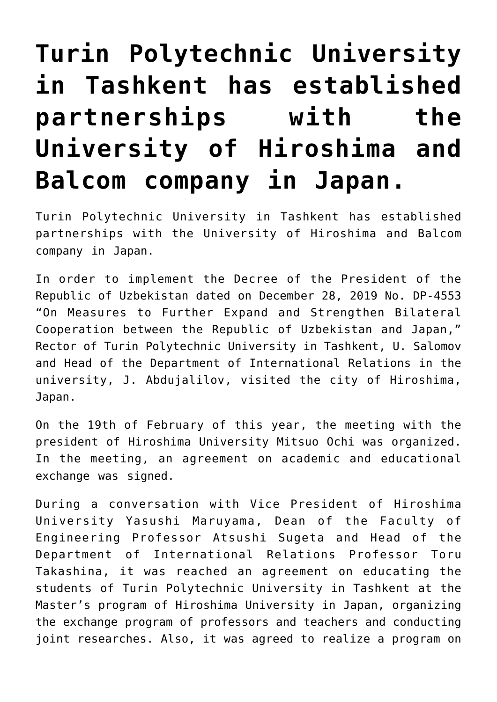## **[Turin Polytechnic University](https://polito.uz/6537/) [in Tashkent has established](https://polito.uz/6537/) [partnerships with the](https://polito.uz/6537/) [University of Hiroshima and](https://polito.uz/6537/) [Balcom company in Japan.](https://polito.uz/6537/)**

Turin Polytechnic University in Tashkent has established partnerships with the University of Hiroshima and Balcom company in Japan.

In order to implement the Decree of the President of the Republic of Uzbekistan dated on December 28, 2019 No. DP-4553 "On Measures to Further Expand and Strengthen Bilateral Cooperation between the Republic of Uzbekistan and Japan," Rector of Turin Polytechnic University in Tashkent, U. Salomov and Head of the Department of International Relations in the university, J. Abdujalilov, visited the city of Hiroshima, Japan.

On the 19th of February of this year, the meeting with the president of Hiroshima University Mitsuo Ochi was organized. In the meeting, an agreement on academic and educational exchange was signed.

During a conversation with Vice President of Hiroshima University Yasushi Maruyama, Dean of the Faculty of Engineering Professor Atsushi Sugeta and Head of the Department of International Relations Professor Toru Takashina, it was reached an agreement on educating the students of Turin Polytechnic University in Tashkent at the Master's program of Hiroshima University in Japan, organizing the exchange program of professors and teachers and conducting joint researches. Also, it was agreed to realize a program on